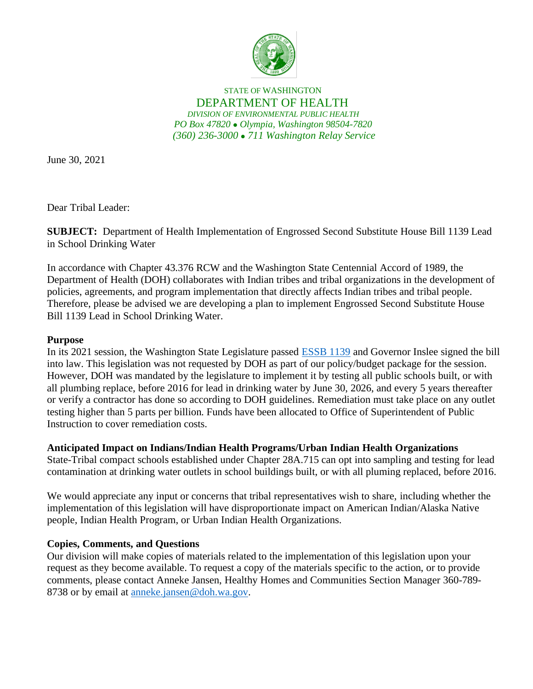

STATE OF WASHINGTON DEPARTMENT OF HEALTH *DIVISION OF ENVIRONMENTAL PUBLIC HEALTH PO Box 47820* ⚫ *Olympia, Washington 98504-7820 (360) 236-3000* ⚫ *711 Washington Relay Service*

June 30, 2021

Dear Tribal Leader:

**SUBJECT:** Department of Health Implementation of Engrossed Second Substitute House Bill 1139 Lead in School Drinking Water

In accordance with Chapter 43.376 RCW and the Washington State Centennial Accord of 1989, the Department of Health (DOH) collaborates with Indian tribes and tribal organizations in the development of policies, agreements, and program implementation that directly affects Indian tribes and tribal people. Therefore, please be advised we are developing a plan to implement Engrossed Second Substitute House Bill 1139 Lead in School Drinking Water.

## **Purpose**

In its 2021 session, the Washington State Legislature passed [ESSB 1139](http://lawfilesext.leg.wa.gov/biennium/2021-22/Pdf/Bills/House%20Passed%20Legislature/1139-S2.PL.pdf?q=20210628075725) and Governor Inslee signed the bill into law. This legislation was not requested by DOH as part of our policy/budget package for the session. However, DOH was mandated by the legislature to implement it by testing all public schools built, or with all plumbing replace, before 2016 for lead in drinking water by June 30, 2026, and every 5 years thereafter or verify a contractor has done so according to DOH guidelines. Remediation must take place on any outlet testing higher than 5 parts per billion. Funds have been allocated to Office of Superintendent of Public Instruction to cover remediation costs.

## **Anticipated Impact on Indians/Indian Health Programs/Urban Indian Health Organizations**

State-Tribal compact schools established under Chapter 28A.715 can opt into sampling and testing for lead contamination at drinking water outlets in school buildings built, or with all pluming replaced, before 2016.

We would appreciate any input or concerns that tribal representatives wish to share, including whether the implementation of this legislation will have disproportionate impact on American Indian/Alaska Native people, Indian Health Program, or Urban Indian Health Organizations.

## **Copies, Comments, and Questions**

Our division will make copies of materials related to the implementation of this legislation upon your request as they become available. To request a copy of the materials specific to the action, or to provide comments, please contact Anneke Jansen, Healthy Homes and Communities Section Manager 360-789 8738 or by email at [anneke.jansen@doh.wa.gov.](mailto:anneke.jansen@doh.wa.gov)